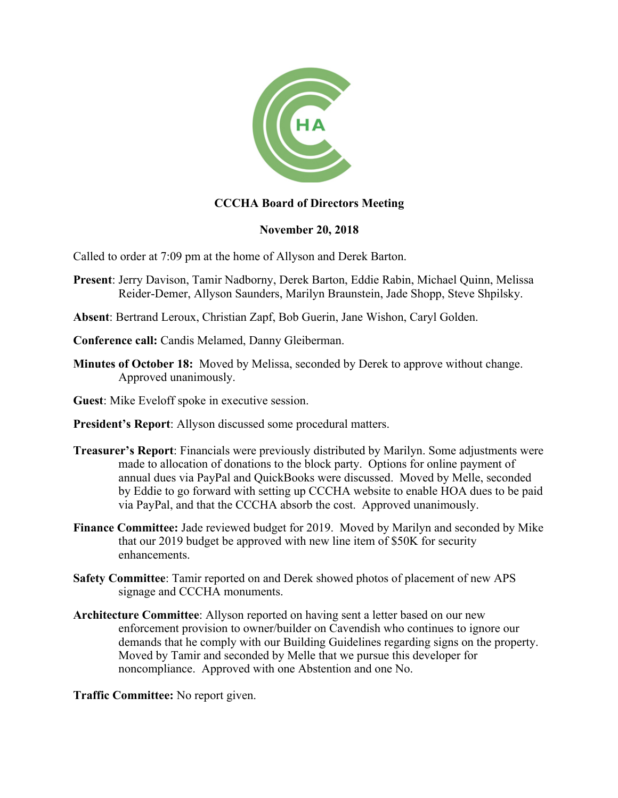

## **CCCHA Board of Directors Meeting**

## **November 20, 2018**

Called to order at 7:09 pm at the home of Allyson and Derek Barton.

- **Present**: Jerry Davison, Tamir Nadborny, Derek Barton, Eddie Rabin, Michael Quinn, Melissa Reider-Demer, Allyson Saunders, Marilyn Braunstein, Jade Shopp, Steve Shpilsky.
- **Absent**: Bertrand Leroux, Christian Zapf, Bob Guerin, Jane Wishon, Caryl Golden.
- **Conference call:** Candis Melamed, Danny Gleiberman.
- **Minutes of October 18:** Moved by Melissa, seconded by Derek to approve without change. Approved unanimously.
- **Guest**: Mike Eveloff spoke in executive session.
- **President's Report**: Allyson discussed some procedural matters.
- **Treasurer's Report**: Financials were previously distributed by Marilyn. Some adjustments were made to allocation of donations to the block party. Options for online payment of annual dues via PayPal and QuickBooks were discussed. Moved by Melle, seconded by Eddie to go forward with setting up CCCHA website to enable HOA dues to be paid via PayPal, and that the CCCHA absorb the cost. Approved unanimously.
- **Finance Committee:** Jade reviewed budget for 2019. Moved by Marilyn and seconded by Mike that our 2019 budget be approved with new line item of \$50K for security enhancements.
- **Safety Committee**: Tamir reported on and Derek showed photos of placement of new APS signage and CCCHA monuments.
- **Architecture Committee**: Allyson reported on having sent a letter based on our new enforcement provision to owner/builder on Cavendish who continues to ignore our demands that he comply with our Building Guidelines regarding signs on the property. Moved by Tamir and seconded by Melle that we pursue this developer for noncompliance. Approved with one Abstention and one No.

**Traffic Committee:** No report given.